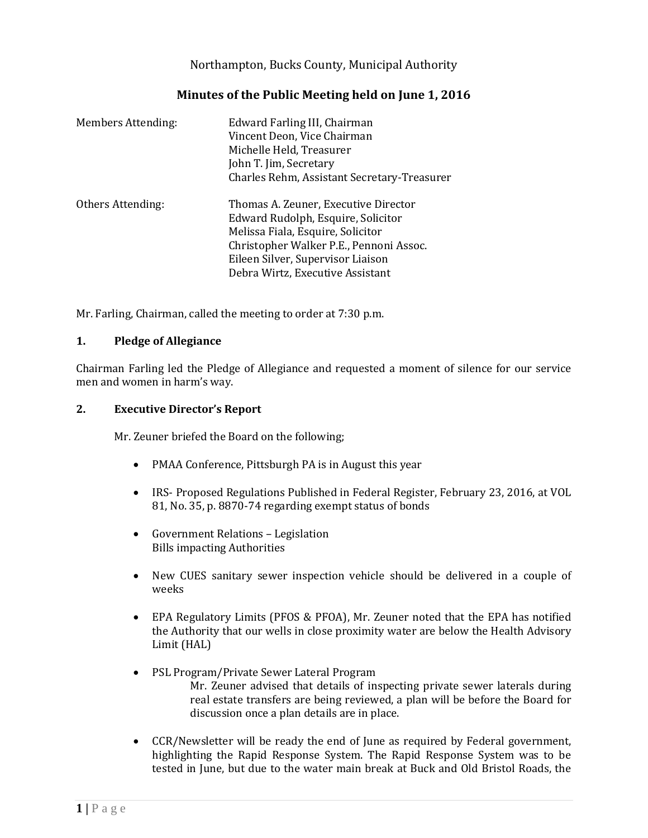Northampton, Bucks County, Municipal Authority

# **Minutes of the Public Meeting held on June 1, 2016**

| <b>Members Attending:</b> | Edward Farling III, Chairman<br>Vincent Deon, Vice Chairman<br>Michelle Held, Treasurer<br>John T. Jim, Secretary<br>Charles Rehm, Assistant Secretary-Treasurer                                                                    |
|---------------------------|-------------------------------------------------------------------------------------------------------------------------------------------------------------------------------------------------------------------------------------|
| Others Attending:         | Thomas A. Zeuner, Executive Director<br>Edward Rudolph, Esquire, Solicitor<br>Melissa Fiala, Esquire, Solicitor<br>Christopher Walker P.E., Pennoni Assoc.<br>Eileen Silver, Supervisor Liaison<br>Debra Wirtz, Executive Assistant |

Mr. Farling, Chairman, called the meeting to order at 7:30 p.m.

#### **1. Pledge of Allegiance**

Chairman Farling led the Pledge of Allegiance and requested a moment of silence for our service men and women in harm's way.

#### **2. Executive Director's Report**

Mr. Zeuner briefed the Board on the following;

- PMAA Conference, Pittsburgh PA is in August this year
- IRS- Proposed Regulations Published in Federal Register, February 23, 2016, at VOL 81, No. 35, p. 8870-74 regarding exempt status of bonds
- Government Relations Legislation Bills impacting Authorities
- New CUES sanitary sewer inspection vehicle should be delivered in a couple of weeks
- EPA Regulatory Limits (PFOS & PFOA), Mr. Zeuner noted that the EPA has notified the Authority that our wells in close proximity water are below the Health Advisory Limit (HAL)
- PSL Program/Private Sewer Lateral Program Mr. Zeuner advised that details of inspecting private sewer laterals during real estate transfers are being reviewed, a plan will be before the Board for discussion once a plan details are in place.
- CCR/Newsletter will be ready the end of June as required by Federal government, highlighting the Rapid Response System. The Rapid Response System was to be tested in June, but due to the water main break at Buck and Old Bristol Roads, the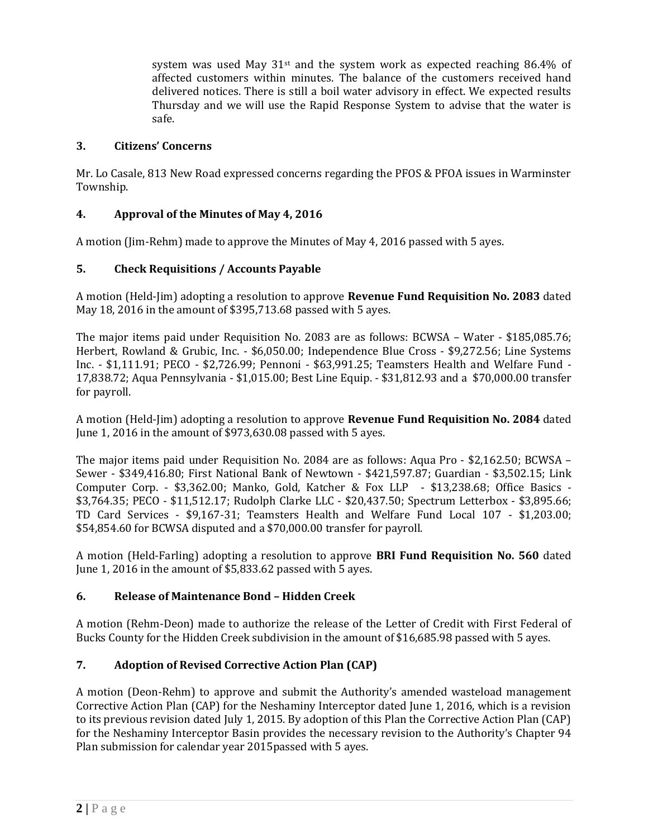system was used May  $31^{st}$  and the system work as expected reaching 86.4% of affected customers within minutes. The balance of the customers received hand delivered notices. There is still a boil water advisory in effect. We expected results Thursday and we will use the Rapid Response System to advise that the water is safe.

### **3. Citizens' Concerns**

Mr. Lo Casale, 813 New Road expressed concerns regarding the PFOS & PFOA issues in Warminster Township.

# **4. Approval of the Minutes of May 4, 2016**

A motion (Jim-Rehm) made to approve the Minutes of May 4, 2016 passed with 5 ayes.

# **5. Check Requisitions / Accounts Payable**

A motion (Held-Jim) adopting a resolution to approve **Revenue Fund Requisition No. 2083** dated May 18, 2016 in the amount of \$395,713.68 passed with 5 ayes.

The major items paid under Requisition No. 2083 are as follows: BCWSA – Water - \$185,085.76; Herbert, Rowland & Grubic, Inc. - \$6,050.00; Independence Blue Cross - \$9,272.56; Line Systems Inc. - \$1,111.91; PECO - \$2,726.99; Pennoni - \$63,991.25; Teamsters Health and Welfare Fund - 17,838.72; Aqua Pennsylvania - \$1,015.00; Best Line Equip. - \$31,812.93 and a \$70,000.00 transfer for payroll.

A motion (Held-Jim) adopting a resolution to approve **Revenue Fund Requisition No. 2084** dated June 1, 2016 in the amount of \$973,630.08 passed with 5 ayes.

The major items paid under Requisition No. 2084 are as follows: Aqua Pro - \$2,162.50; BCWSA – Sewer - \$349,416.80; First National Bank of Newtown - \$421,597.87; Guardian - \$3,502.15; Link Computer Corp. - \$3,362.00; Manko, Gold, Katcher & Fox LLP - \$13,238.68; Office Basics - \$3,764.35; PECO - \$11,512.17; Rudolph Clarke LLC - \$20,437.50; Spectrum Letterbox - \$3,895.66; TD Card Services - \$9,167-31; Teamsters Health and Welfare Fund Local 107 - \$1,203.00; \$54,854.60 for BCWSA disputed and a \$70,000.00 transfer for payroll.

A motion (Held-Farling) adopting a resolution to approve **BRI Fund Requisition No. 560** dated June 1, 2016 in the amount of \$5,833.62 passed with 5 ayes.

### **6. Release of Maintenance Bond – Hidden Creek**

A motion (Rehm-Deon) made to authorize the release of the Letter of Credit with First Federal of Bucks County for the Hidden Creek subdivision in the amount of \$16,685.98 passed with 5 ayes.

# **7. Adoption of Revised Corrective Action Plan (CAP)**

A motion (Deon-Rehm) to approve and submit the Authority's amended wasteload management Corrective Action Plan (CAP) for the Neshaminy Interceptor dated June 1, 2016, which is a revision to its previous revision dated July 1, 2015. By adoption of this Plan the Corrective Action Plan (CAP) for the Neshaminy Interceptor Basin provides the necessary revision to the Authority's Chapter 94 Plan submission for calendar year 2015passed with 5 ayes.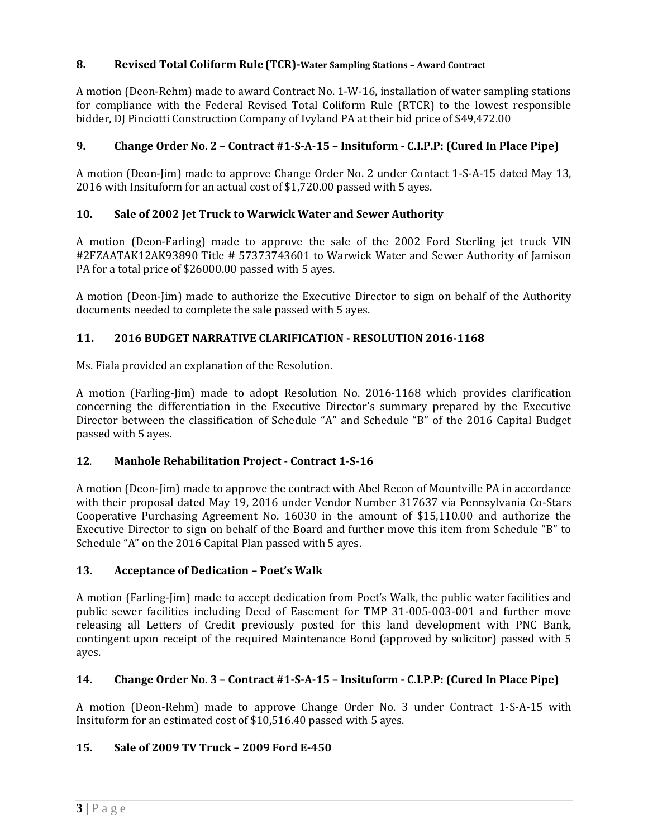# **8. Revised Total Coliform Rule (TCR)-Water Sampling Stations – Award Contract**

A motion (Deon-Rehm) made to award Contract No. 1-W-16, installation of water sampling stations for compliance with the Federal Revised Total Coliform Rule (RTCR) to the lowest responsible bidder, DJ Pinciotti Construction Company of Ivyland PA at their bid price of \$49,472.00

### **9. Change Order No. 2 – Contract #1-S-A-15 – Insituform - C.I.P.P: (Cured In Place Pipe)**

A motion (Deon-Jim) made to approve Change Order No. 2 under Contact 1-S-A-15 dated May 13, 2016 with Insituform for an actual cost of \$1,720.00 passed with 5 ayes.

### **10. Sale of 2002 Jet Truck to Warwick Water and Sewer Authority**

A motion (Deon-Farling) made to approve the sale of the 2002 Ford Sterling jet truck VIN #2FZAATAK12AK93890 Title # 57373743601 to Warwick Water and Sewer Authority of Jamison PA for a total price of \$26000.00 passed with 5 ayes.

A motion (Deon-Jim) made to authorize the Executive Director to sign on behalf of the Authority documents needed to complete the sale passed with 5 ayes.

### **11. 2016 BUDGET NARRATIVE CLARIFICATION - RESOLUTION 2016-1168**

Ms. Fiala provided an explanation of the Resolution.

A motion (Farling-Jim) made to adopt Resolution No. 2016-1168 which provides clarification concerning the differentiation in the Executive Director's summary prepared by the Executive Director between the classification of Schedule "A" and Schedule "B" of the 2016 Capital Budget passed with 5 ayes.

### **12**. **Manhole Rehabilitation Project - Contract 1-S-16**

A motion (Deon-Jim) made to approve the contract with Abel Recon of Mountville PA in accordance with their proposal dated May 19, 2016 under Vendor Number 317637 via Pennsylvania Co-Stars Cooperative Purchasing Agreement No. 16030 in the amount of \$15,110.00 and authorize the Executive Director to sign on behalf of the Board and further move this item from Schedule "B" to Schedule "A" on the 2016 Capital Plan passed with 5 ayes.

### **13. Acceptance of Dedication – Poet's Walk**

A motion (Farling-Jim) made to accept dedication from Poet's Walk, the public water facilities and public sewer facilities including Deed of Easement for TMP 31-005-003-001 and further move releasing all Letters of Credit previously posted for this land development with PNC Bank, contingent upon receipt of the required Maintenance Bond (approved by solicitor) passed with 5 ayes.

### **14. Change Order No. 3 – Contract #1-S-A-15 – Insituform - C.I.P.P: (Cured In Place Pipe)**

A motion (Deon-Rehm) made to approve Change Order No. 3 under Contract 1-S-A-15 with Insituform for an estimated cost of \$10,516.40 passed with 5 ayes.

### **15. Sale of 2009 TV Truck – 2009 Ford E-450**